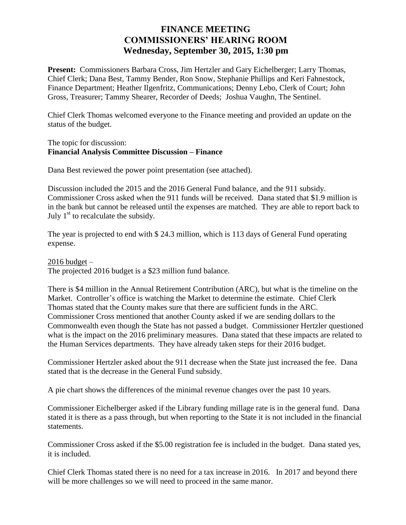## **FINANCE MEETING COMMISSIONERS' HEARING ROOM Wednesday, September 30, 2015, 1:30 pm**

**Present:** Commissioners Barbara Cross, Jim Hertzler and Gary Eichelberger; Larry Thomas, Chief Clerk; Dana Best, Tammy Bender, Ron Snow, Stephanie Phillips and Keri Fahnestock, Finance Department; Heather Ilgenfritz, Communications; Denny Lebo, Clerk of Court; John Gross, Treasurer; Tammy Shearer, Recorder of Deeds; Joshua Vaughn, The Sentinel.

Chief Clerk Thomas welcomed everyone to the Finance meeting and provided an update on the status of the budget.

The topic for discussion: **Financial Analysis Committee Discussion – Finance**

Dana Best reviewed the power point presentation (see attached).

Discussion included the 2015 and the 2016 General Fund balance, and the 911 subsidy. Commissioner Cross asked when the 911 funds will be received. Dana stated that \$1.9 million is in the bank but cannot be released until the expenses are matched. They are able to report back to July  $1<sup>st</sup>$  to recalculate the subsidy.

The year is projected to end with \$ 24.3 million, which is 113 days of General Fund operating expense.

 $2016$  budget  $-$ The projected 2016 budget is a \$23 million fund balance.

There is \$4 million in the Annual Retirement Contribution (ARC), but what is the timeline on the Market. Controller's office is watching the Market to determine the estimate. Chief Clerk Thomas stated that the County makes sure that there are sufficient funds in the ARC. Commissioner Cross mentioned that another County asked if we are sending dollars to the Commonwealth even though the State has not passed a budget. Commissioner Hertzler questioned what is the impact on the 2016 preliminary measures. Dana stated that these impacts are related to the Human Services departments. They have already taken steps for their 2016 budget.

Commissioner Hertzler asked about the 911 decrease when the State just increased the fee. Dana stated that is the decrease in the General Fund subsidy.

A pie chart shows the differences of the minimal revenue changes over the past 10 years.

Commissioner Eichelberger asked if the Library funding millage rate is in the general fund. Dana stated it is there as a pass through, but when reporting to the State it is not included in the financial statements.

Commissioner Cross asked if the \$5.00 registration fee is included in the budget. Dana stated yes, it is included.

Chief Clerk Thomas stated there is no need for a tax increase in 2016. In 2017 and beyond there will be more challenges so we will need to proceed in the same manor.